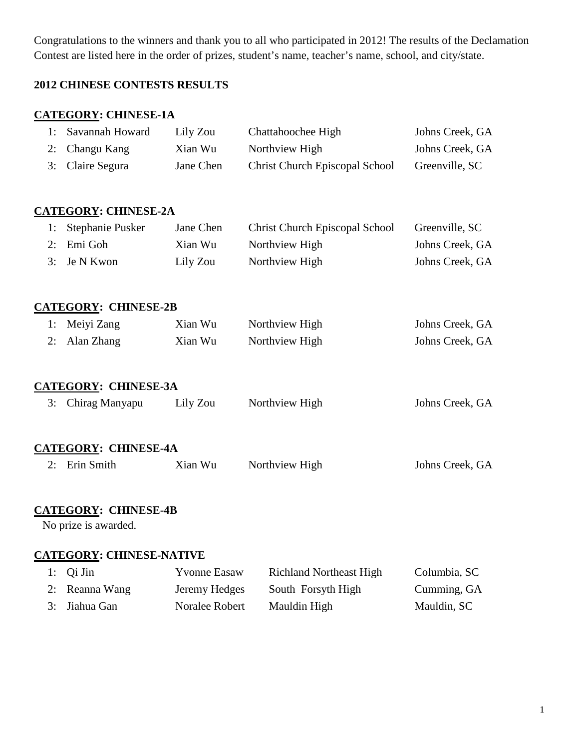Congratulations to the winners and thank you to all who participated in 2012! The results of the Declamation Contest are listed here in the order of prizes, student's name, teacher's name, school, and city/state.

# **2012 CHINESE CONTESTS RESULTS**

# **CATEGORY: CHINESE-1A**

| 1: | Savannah Howard                           | Lily Zou            | Chattahoochee High                    | Johns Creek, GA |
|----|-------------------------------------------|---------------------|---------------------------------------|-----------------|
| 2: | Changu Kang                               | Xian Wu             | Northview High                        | Johns Creek, GA |
| 3: | Claire Segura                             | Jane Chen           | <b>Christ Church Episcopal School</b> | Greenville, SC  |
|    |                                           |                     |                                       |                 |
|    | <b>CATEGORY: CHINESE-2A</b>               |                     |                                       |                 |
| 1: | Stephanie Pusker                          | Jane Chen           | <b>Christ Church Episcopal School</b> | Greenville, SC  |
| 2: | Emi Goh                                   | Xian Wu             | Northview High                        | Johns Creek, GA |
| 3: | Je N Kwon                                 | Lily Zou            | Northview High                        | Johns Creek, GA |
|    |                                           |                     |                                       |                 |
| 1: | <b>CATEGORY: CHINESE-2B</b><br>Meiyi Zang | Xian Wu             |                                       | Johns Creek, GA |
| 2: | Alan Zhang                                | Xian Wu             | Northview High<br>Northview High      | Johns Creek, GA |
|    |                                           |                     |                                       |                 |
|    | <b>CATEGORY: CHINESE-3A</b>               |                     |                                       |                 |
| 3: | Chirag Manyapu                            | Lily Zou            | Northview High                        | Johns Creek, GA |
|    | <b>CATEGORY: CHINESE-4A</b>               |                     |                                       |                 |
| 2: | Erin Smith                                | Xian Wu             | Northview High                        | Johns Creek, GA |
|    | <b>CATEGORY: CHINESE-4B</b>               |                     |                                       |                 |
|    | No prize is awarded.                      |                     |                                       |                 |
|    | <b>CATEGORY: CHINESE-NATIVE</b>           |                     |                                       |                 |
| 1: | Qi Jin                                    | <b>Yvonne Easaw</b> | <b>Richland Northeast High</b>        | Columbia, SC    |
| 2: | Reanna Wang                               | Jeremy Hedges       | South Forsyth High                    | Cumming, GA     |
| 3: | Jiahua Gan                                | Noralee Robert      | Mauldin High                          | Mauldin, SC     |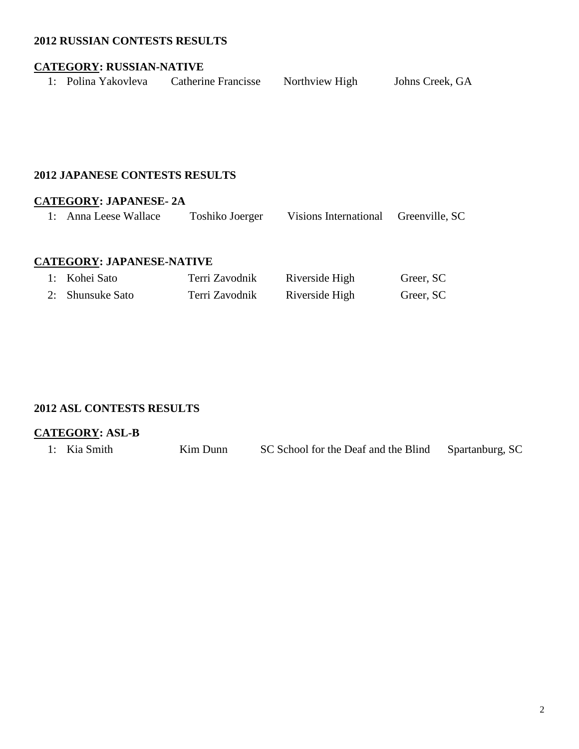#### **2012 RUSSIAN CONTESTS RESULTS**

#### **CATEGORY: RUSSIAN-NATIVE**

| 1: Polina Yakovleva | <b>Catherine Francisse</b> | Northview High | Johns Creek, GA |
|---------------------|----------------------------|----------------|-----------------|
|                     |                            |                |                 |

#### **2012 JAPANESE CONTESTS RESULTS**

## **CATEGORY: JAPANESE- 2A**

1: Anna Leese Wallace Toshiko Joerger Visions International Greenville, SC

## **CATEGORY: JAPANESE-NATIVE**

| 1: Kohei Sato    | Terri Zavodnik | Riverside High | Greer, SC |
|------------------|----------------|----------------|-----------|
| 2: Shunsuke Sato | Terri Zavodnik | Riverside High | Greer, SC |

#### **2012 ASL CONTESTS RESULTS**

#### **CATEGORY: ASL-B**

| SC School for the Deaf and the Blind Spartanburg, SC<br>1: Kia Smith<br>Kim Dunn |  |
|----------------------------------------------------------------------------------|--|
|----------------------------------------------------------------------------------|--|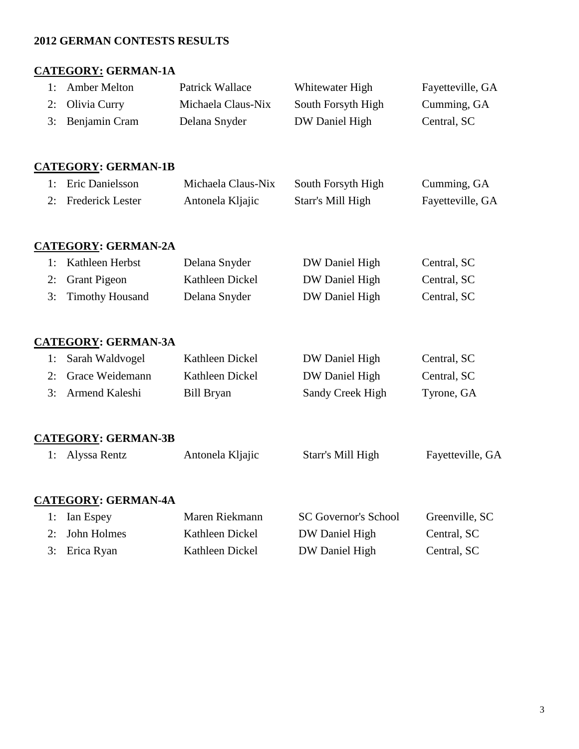# **2012 GERMAN CONTESTS RESULTS**

# **CATEGORY: GERMAN-1A**

| 1: | <b>Amber Melton</b>        | Patrick Wallace    | Whitewater High             | Fayetteville, GA |
|----|----------------------------|--------------------|-----------------------------|------------------|
| 2: | Olivia Curry               | Michaela Claus-Nix | South Forsyth High          | Cumming, GA      |
| 3: | Benjamin Cram              | Delana Snyder      | DW Daniel High              | Central, SC      |
|    |                            |                    |                             |                  |
|    | <b>CATEGORY: GERMAN-1B</b> |                    |                             |                  |
| 1: | Eric Danielsson            | Michaela Claus-Nix | South Forsyth High          | Cumming, GA      |
| 2: | <b>Frederick Lester</b>    | Antonela Kljajic   | Starr's Mill High           | Fayetteville, GA |
|    |                            |                    |                             |                  |
|    | <b>CATEGORY: GERMAN-2A</b> |                    |                             |                  |
| 1: | Kathleen Herbst            | Delana Snyder      | DW Daniel High              | Central, SC      |
| 2: | <b>Grant Pigeon</b>        | Kathleen Dickel    | DW Daniel High              | Central, SC      |
| 3: | <b>Timothy Housand</b>     | Delana Snyder      | DW Daniel High              | Central, SC      |
|    |                            |                    |                             |                  |
|    | <b>CATEGORY: GERMAN-3A</b> |                    |                             |                  |
| 1: | Sarah Waldvogel            | Kathleen Dickel    | DW Daniel High              | Central, SC      |
| 2: | Grace Weidemann            | Kathleen Dickel    | DW Daniel High              | Central, SC      |
| 3: | Armend Kaleshi             | <b>Bill Bryan</b>  | Sandy Creek High            | Tyrone, GA       |
|    |                            |                    |                             |                  |
|    | <b>CATEGORY: GERMAN-3B</b> |                    |                             |                  |
| 1: | Alyssa Rentz               | Antonela Kljajic   | Starr's Mill High           | Fayetteville, GA |
|    |                            |                    |                             |                  |
|    | <b>CATEGORY: GERMAN-4A</b> |                    |                             |                  |
| 1: | Ian Espey                  | Maren Riekmann     | <b>SC Governor's School</b> | Greenville, SC   |
| 2: | John Holmes                | Kathleen Dickel    | DW Daniel High              | Central, SC      |
| 3: | Erica Ryan                 | Kathleen Dickel    | DW Daniel High              | Central, SC      |
|    |                            |                    |                             |                  |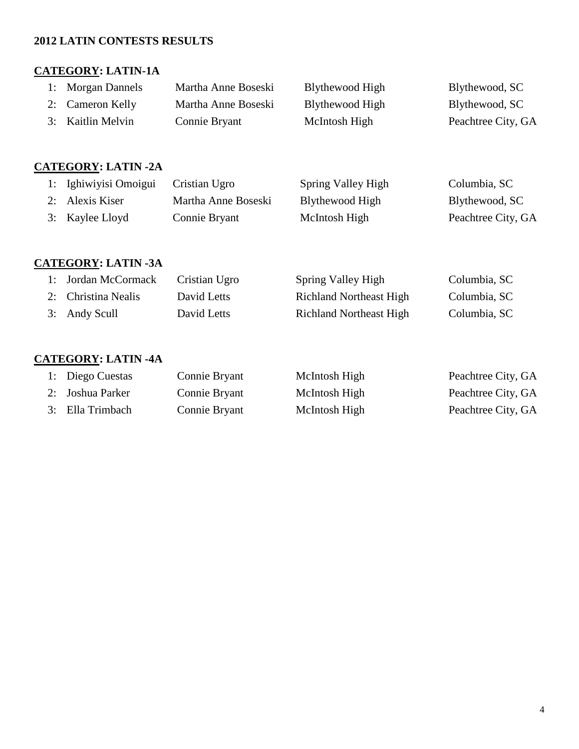# **2012 LATIN CONTESTS RESULTS**

# **CATEGORY: LATIN-1A**

| 1: Morgan Dannels | Martha Anne Boseski | Blythewood High | Blythewood, SC     |
|-------------------|---------------------|-----------------|--------------------|
| 2: Cameron Kelly  | Martha Anne Boseski | Blythewood High | Blythewood, SC     |
| 3: Kaitlin Melvin | Connie Bryant       | McIntosh High   | Peachtree City, GA |

## **CATEGORY: LATIN -2A**

| 1: Ighiwiyisi Omoigui | Cristian Ugro       | Spring Valley High | Columbia, SC       |
|-----------------------|---------------------|--------------------|--------------------|
| 2: Alexis Kiser       | Martha Anne Boseski | Blythewood High    | Blythewood, SC     |
| 3: Kaylee Lloyd       | Connie Bryant       | McIntosh High      | Peachtree City, GA |

# **CATEGORY: LATIN -3A**

| 1: Jordan McCormack | Cristian Ugro | Spring Valley High             | Columbia, SC |
|---------------------|---------------|--------------------------------|--------------|
| 2: Christina Nealis | David Letts   | <b>Richland Northeast High</b> | Columbia, SC |
| 3: Andy Scull       | David Letts   | <b>Richland Northeast High</b> | Columbia, SC |

# **CATEGORY: LATIN -4A**

| 1: Diego Cuestas | Connie Bryant | McIntosh High | Peachtree City, GA |
|------------------|---------------|---------------|--------------------|
| 2: Joshua Parker | Connie Bryant | McIntosh High | Peachtree City, GA |
| 3: Ella Trimbach | Connie Bryant | McIntosh High | Peachtree City, GA |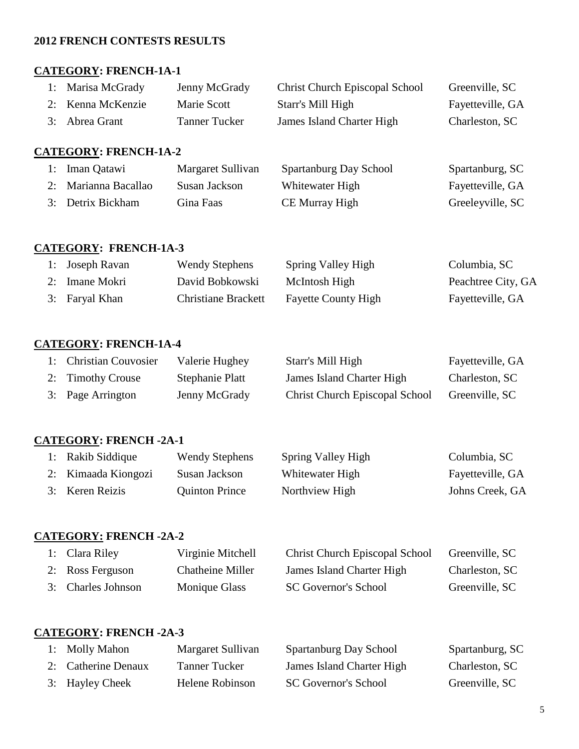#### **2012 FRENCH CONTESTS RESULTS**

#### **CATEGORY: FRENCH-1A-1**

| 1: Marisa McGrady | Jenny McGrady | <b>Christ Church Episcopal School</b> | Greenville, SC   |
|-------------------|---------------|---------------------------------------|------------------|
| 2: Kenna McKenzie | Marie Scott   | Starr's Mill High                     | Fayetteville, GA |
| 3: Abrea Grant    | Tanner Tucker | James Island Charter High             | Charleston, SC   |

## **CATEGORY: FRENCH-1A-2**

| 1: Iman Qatawi       | Margaret Sullivan | Spartanburg Day School | Spartanburg, SC  |
|----------------------|-------------------|------------------------|------------------|
| 2: Marianna Bacallao | Susan Jackson     | Whitewater High        | Fayetteville, GA |
| 3: Detrix Bickham    | Gina Faas         | CE Murray High         | Greeleyville, SC |

#### **CATEGORY: FRENCH-1A-3**

| 1: Joseph Ravan | <b>Wendy Stephens</b>      | Spring Valley High         | Columbia, SC       |
|-----------------|----------------------------|----------------------------|--------------------|
| 2: Imane Mokri  | David Bobkowski            | McIntosh High              | Peachtree City, GA |
| 3: Faryal Khan  | <b>Christiane Brackett</b> | <b>Fayette County High</b> | Fayetteville, GA   |

## **CATEGORY: FRENCH-1A-4**

| 1: Christian Couvosier | Valerie Hughey  | Starr's Mill High                     | Fayetteville, GA |
|------------------------|-----------------|---------------------------------------|------------------|
| 2: Timothy Crouse      | Stephanie Platt | James Island Charter High             | Charleston, SC   |
| 3: Page Arrington      | Jenny McGrady   | <b>Christ Church Episcopal School</b> | Greenville, SC   |

#### **CATEGORY: FRENCH -2A-1**

| 1: Rakib Siddique   | <b>Wendy Stephens</b> | Spring Valley High | Columbia, SC     |
|---------------------|-----------------------|--------------------|------------------|
| 2: Kimaada Kiongozi | Susan Jackson         | Whitewater High    | Fayetteville, GA |
| 3: Keren Reizis     | <b>Quinton Prince</b> | Northview High     | Johns Creek, GA  |

#### **CATEGORY: FRENCH -2A-2**

| 1: Clara Riley     | Virginie Mitchell       | <b>Christ Church Episcopal School</b> | Greenville, SC |
|--------------------|-------------------------|---------------------------------------|----------------|
| 2: Ross Ferguson   | <b>Chatheine Miller</b> | James Island Charter High             | Charleston, SC |
| 3: Charles Johnson | Monique Glass           | <b>SC Governor's School</b>           | Greenville, SC |

#### **CATEGORY: FRENCH -2A-3**

| 1: Molly Mahon      | Margaret Sullivan    | Spartanburg Day School      | Spartanburg, SC |
|---------------------|----------------------|-----------------------------|-----------------|
| 2: Catherine Denaux | <b>Tanner Tucker</b> | James Island Charter High   | Charleston, SC  |
| 3: Hayley Cheek     | Helene Robinson      | <b>SC Governor's School</b> | Greenville, SC  |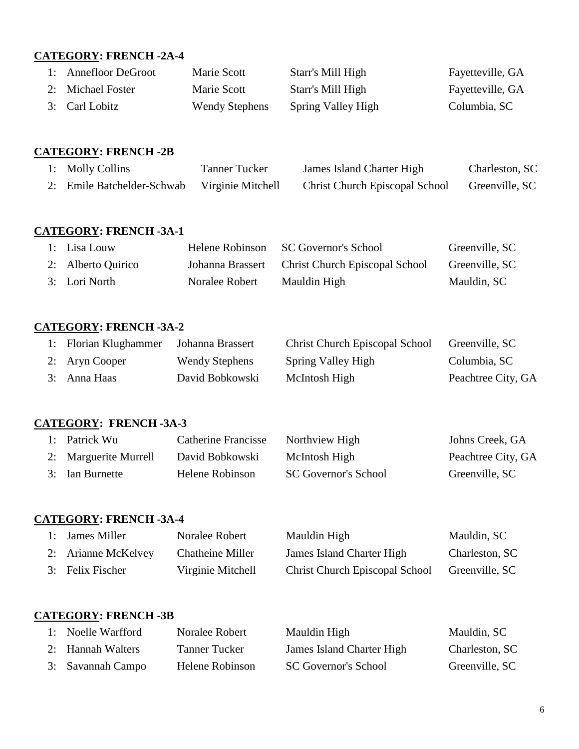# **CATEGORY: FRENCH -2A-4**

| 1: Annefloor DeGroot | Marie Scott           | Starr's Mill High  | Fayetteville, GA |
|----------------------|-----------------------|--------------------|------------------|
| 2: Michael Foster    | Marie Scott           | Starr's Mill High  | Fayetteville, GA |
| 3: Carl Lobitz       | <b>Wendy Stephens</b> | Spring Valley High | Columbia, SC     |

## **CATEGORY: FRENCH -2B**

| 1: Molly Collins           | <b>Tanner Tucker</b> | James Island Charter High             | Charleston, SC |
|----------------------------|----------------------|---------------------------------------|----------------|
| 2: Emile Batchelder-Schwab | Virginie Mitchell    | <b>Christ Church Episcopal School</b> | Greenville, SC |

# **CATEGORY: FRENCH -3A-1**

| 1: Lisa Louw       | Helene Robinson  | SC Governor's School                  | Greenville, SC |
|--------------------|------------------|---------------------------------------|----------------|
| 2: Alberto Quirico | Johanna Brassert | <b>Christ Church Episcopal School</b> | Greenville, SC |
| 3: Lori North      | Noralee Robert   | Mauldin High                          | Mauldin, SC    |

# **CATEGORY: FRENCH -3A-2**

| 1: Florian Klughammer | Johanna Brassert      | <b>Christ Church Episcopal School</b> | Greenville, SC     |
|-----------------------|-----------------------|---------------------------------------|--------------------|
| 2: Aryn Cooper        | <b>Wendy Stephens</b> | Spring Valley High                    | Columbia, SC       |
| 3: Anna Haas          | David Bobkowski       | McIntosh High                         | Peachtree City, GA |

## **CATEGORY: FRENCH -3A-3**

| 1: Patrick Wu         | <b>Catherine Francisse</b> | Northview High              | Johns Creek, GA    |
|-----------------------|----------------------------|-----------------------------|--------------------|
| 2: Marguerite Murrell | David Bobkowski            | McIntosh High               | Peachtree City, GA |
| 3: Ian Burnette       | Helene Robinson            | <b>SC Governor's School</b> | Greenville, SC     |

#### **CATEGORY: FRENCH -3A-4**

| 1: James Miller     | Noralee Robert    | Mauldin High                          | Mauldin, SC    |
|---------------------|-------------------|---------------------------------------|----------------|
| 2: Arianne McKelvey | Chatheine Miller  | James Island Charter High             | Charleston, SC |
| 3: Felix Fischer    | Virginie Mitchell | <b>Christ Church Episcopal School</b> | Greenville, SC |

## **CATEGORY: FRENCH -3B**

| 1: Noelle Warfford | Noralee Robert  | Mauldin High                | Mauldin, SC    |
|--------------------|-----------------|-----------------------------|----------------|
| 2: Hannah Walters  | Tanner Tucker   | James Island Charter High   | Charleston, SC |
| 3: Savannah Campo  | Helene Robinson | <b>SC Governor's School</b> | Greenville, SC |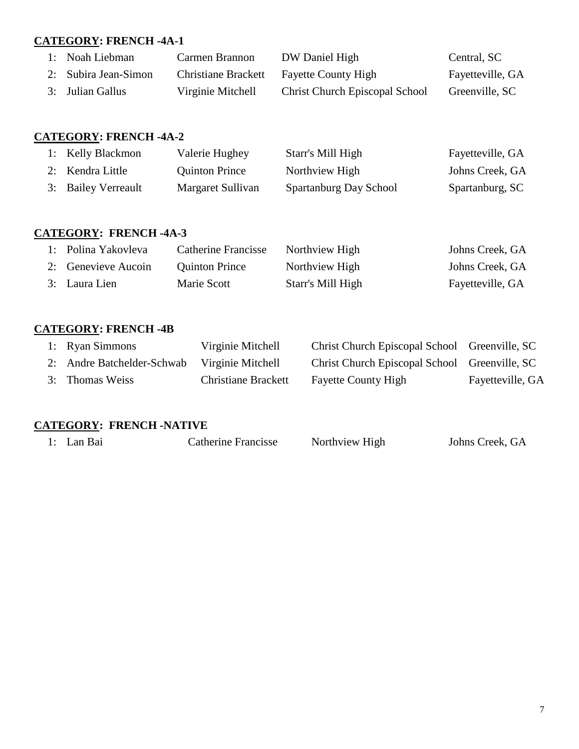## **CATEGORY: FRENCH -4A-1**

| 1: Noah Liebman      | Carmen Brannon             | DW Daniel High                        | Central, SC      |
|----------------------|----------------------------|---------------------------------------|------------------|
| 2: Subira Jean-Simon | <b>Christiane Brackett</b> | <b>Fayette County High</b>            | Fayetteville, GA |
| 3: Julian Gallus     | Virginie Mitchell          | <b>Christ Church Episcopal School</b> | Greenville, SC   |

# **CATEGORY: FRENCH -4A-2**

| 1: Kelly Blackmon   | Valerie Hughey        | Starr's Mill High      | Fayetteville, GA |
|---------------------|-----------------------|------------------------|------------------|
| 2: Kendra Little    | <b>Quinton Prince</b> | Northview High         | Johns Creek, GA  |
| 3: Bailey Verreault | Margaret Sullivan     | Spartanburg Day School | Spartanburg, SC  |

## **CATEGORY: FRENCH -4A-3**

| 1: Polina Yakovleva | <b>Catherine Francisse</b> | Northview High    | Johns Creek, GA  |
|---------------------|----------------------------|-------------------|------------------|
| 2: Genevieve Aucoin | <b>Quinton Prince</b>      | Northview High    | Johns Creek, GA  |
| 3: Laura Lien       | Marie Scott                | Starr's Mill High | Fayetteville, GA |

# **CATEGORY: FRENCH -4B**

| 1: Ryan Simmons            | Virginie Mitchell          | Christ Church Episcopal School Greenville, SC |                  |
|----------------------------|----------------------------|-----------------------------------------------|------------------|
| 2: Andre Batchelder-Schwab | Virginie Mitchell          | Christ Church Episcopal School Greenville, SC |                  |
| 3: Thomas Weiss            | <b>Christiane Brackett</b> | <b>Fayette County High</b>                    | Fayetteville, GA |

#### **CATEGORY: FRENCH -NATIVE**

| 1: Lan Bai<br>Catherine Francisse<br>Northview High | Johns Creek, GA |
|-----------------------------------------------------|-----------------|
|-----------------------------------------------------|-----------------|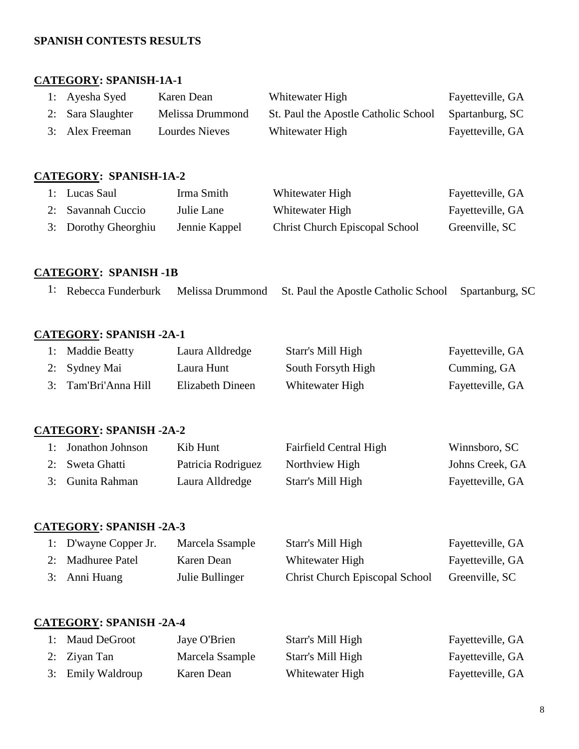#### **SPANISH CONTESTS RESULTS**

#### **CATEGORY: SPANISH-1A-1**

| 1: Ayesha Syed    | Karen Dean       | Whitewater High                      | Fayetteville, GA |
|-------------------|------------------|--------------------------------------|------------------|
| 2: Sara Slaughter | Melissa Drummond | St. Paul the Apostle Catholic School | Spartanburg, SC  |
| 3: Alex Freeman   | Lourdes Nieves   | Whitewater High                      | Fayetteville, GA |

## **CATEGORY: SPANISH-1A-2**

| 1: Lucas Saul        | Irma Smith    | Whitewater High                       | Fayetteville, GA |
|----------------------|---------------|---------------------------------------|------------------|
| 2: Savannah Cuccio   | Julie Lane    | Whitewater High                       | Fayetteville, GA |
| 3: Dorothy Gheorghiu | Jennie Kappel | <b>Christ Church Episcopal School</b> | Greenville, SC   |

# **CATEGORY: SPANISH -1B**

|  |  |  | 1: Rebecca Funderburk Melissa Drummond St. Paul the Apostle Catholic School Spartanburg, SC |  |
|--|--|--|---------------------------------------------------------------------------------------------|--|
|--|--|--|---------------------------------------------------------------------------------------------|--|

# **CATEGORY: SPANISH -2A-1**

| 1: Maddie Beatty     | Laura Alldredge  | Starr's Mill High  | Fayetteville, GA |
|----------------------|------------------|--------------------|------------------|
| 2: Sydney Mai        | Laura Hunt       | South Forsyth High | Cumming, GA      |
| 3: Tam'Bri'Anna Hill | Elizabeth Dineen | Whitewater High    | Fayetteville, GA |

#### **CATEGORY: SPANISH -2A-2**

| 1: Jonathon Johnson | Kib Hunt           | <b>Fairfield Central High</b> | Winnsboro, SC    |
|---------------------|--------------------|-------------------------------|------------------|
| 2: Sweta Ghatti     | Patricia Rodriguez | Northview High                | Johns Creek, GA  |
| 3: Gunita Rahman    | Laura Alldredge    | Starr's Mill High             | Fayetteville, GA |

# **CATEGORY: SPANISH -2A-3**

| 1: D'wayne Copper Jr. | Marcela Ssample | Starr's Mill High                     | Fayetteville, GA |
|-----------------------|-----------------|---------------------------------------|------------------|
| 2: Madhuree Patel     | Karen Dean      | Whitewater High                       | Fayetteville, GA |
| 3: Anni Huang         | Julie Bullinger | <b>Christ Church Episcopal School</b> | Greenville, SC   |

## **CATEGORY: SPANISH -2A-4**

| 1: Maud DeGroot   | Jaye O'Brien    | Starr's Mill High | Fayetteville, GA |
|-------------------|-----------------|-------------------|------------------|
| 2: Zivan Tan      | Marcela Ssample | Starr's Mill High | Fayetteville, GA |
| 3: Emily Waldroup | Karen Dean      | Whitewater High   | Fayetteville, GA |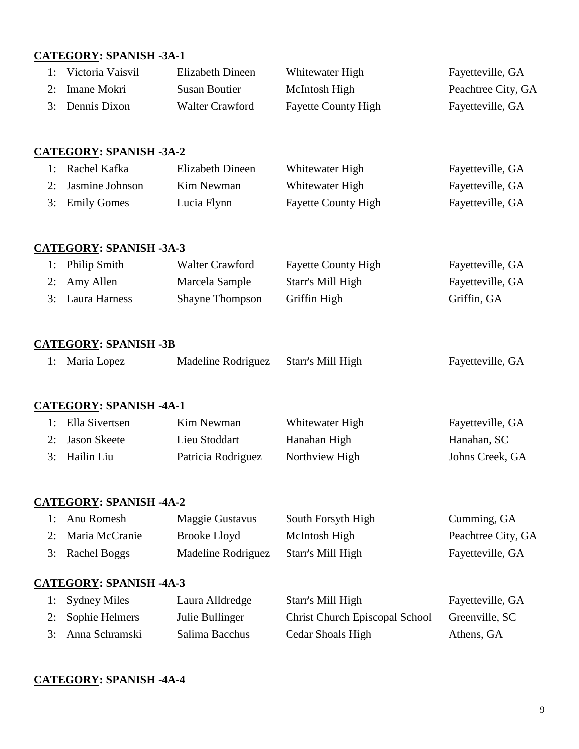#### **CATEGORY: SPANISH -3A-1**

| 1: Victoria Vaisvil | Elizabeth Dineen       | Whitewater High            | Fayetteville, GA   |
|---------------------|------------------------|----------------------------|--------------------|
| 2: Imane Mokri      | Susan Boutier          | McIntosh High              | Peachtree City, GA |
| 3: Dennis Dixon     | <b>Walter Crawford</b> | <b>Fayette County High</b> | Fayetteville, GA   |

# **CATEGORY: SPANISH -3A-2**

| 1: Rachel Kafka    | Elizabeth Dineen | Whitewater High            | Fayetteville, GA |
|--------------------|------------------|----------------------------|------------------|
| 2: Jasmine Johnson | Kim Newman       | Whitewater High            | Fayetteville, GA |
| 3: Emily Gomes     | Lucia Flynn      | <b>Fayette County High</b> | Fayetteville, GA |

#### **CATEGORY: SPANISH -3A-3**

| 1: Philip Smith  | Walter Crawford        | <b>Fayette County High</b> | Fayetteville, GA |
|------------------|------------------------|----------------------------|------------------|
| 2: Amy Allen     | Marcela Sample         | Starr's Mill High          | Fayetteville, GA |
| 3: Laura Harness | <b>Shayne Thompson</b> | Griffin High               | Griffin, GA      |

## **CATEGORY: SPANISH -3B**

|  | 1: Maria Lopez | Madeline Rodriguez Starr's Mill High |  | Fayetteville, GA |
|--|----------------|--------------------------------------|--|------------------|
|--|----------------|--------------------------------------|--|------------------|

## **CATEGORY: SPANISH -4A-1**

| 1: Ella Sivertsen | Kim Newman         | Whitewater High | Fayetteville, GA |
|-------------------|--------------------|-----------------|------------------|
| 2: Jason Skeete   | Lieu Stoddart      | Hanahan High    | Hanahan, SC      |
| 3: Hailin Liu     | Patricia Rodriguez | Northview High  | Johns Creek, GA  |

#### **CATEGORY: SPANISH -4A-2**

| 1: Anu Romesh     | Maggie Gustavus    | South Forsyth High | Cumming, GA        |
|-------------------|--------------------|--------------------|--------------------|
| 2: Maria McCranie | Brooke Lloyd       | McIntosh High      | Peachtree City, GA |
| 3: Rachel Boggs   | Madeline Rodriguez | Starr's Mill High  | Fayetteville, GA   |

## **CATEGORY: SPANISH -4A-3**

| 1: Sydney Miles   | Laura Alldredge | Starr's Mill High                     | Fayetteville, GA |
|-------------------|-----------------|---------------------------------------|------------------|
| 2: Sophie Helmers | Julie Bullinger | <b>Christ Church Episcopal School</b> | Greenville, SC   |
| 3: Anna Schramski | Salima Bacchus  | Cedar Shoals High                     | Athens, GA       |

## **CATEGORY: SPANISH -4A-4**